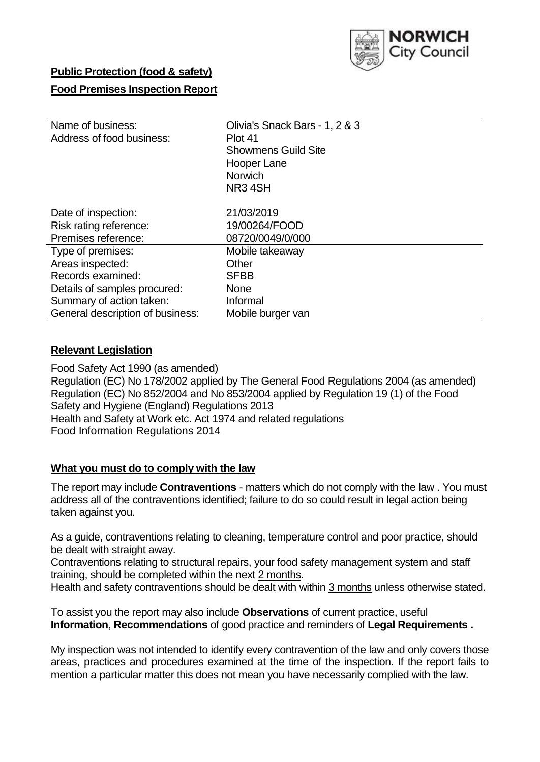

## **Public Protection (food & safety)**

## **Food Premises Inspection Report**

| Name of business:<br>Address of food business: | Olivia's Snack Bars - 1, 2 & 3<br>Plot 41<br><b>Showmens Guild Site</b><br>Hooper Lane<br>Norwich<br>NR <sub>3</sub> 4SH |  |  |
|------------------------------------------------|--------------------------------------------------------------------------------------------------------------------------|--|--|
| Date of inspection:                            | 21/03/2019                                                                                                               |  |  |
| Risk rating reference:                         | 19/00264/FOOD                                                                                                            |  |  |
| Premises reference:                            | 08720/0049/0/000                                                                                                         |  |  |
| Type of premises:                              | Mobile takeaway                                                                                                          |  |  |
| Areas inspected:                               | Other                                                                                                                    |  |  |
| Records examined:                              | <b>SFBB</b>                                                                                                              |  |  |
| Details of samples procured:                   | <b>None</b>                                                                                                              |  |  |
| Summary of action taken:                       | Informal                                                                                                                 |  |  |
| General description of business:               | Mobile burger van                                                                                                        |  |  |

## **Relevant Legislation**

Food Safety Act 1990 (as amended) Regulation (EC) No 178/2002 applied by The General Food Regulations 2004 (as amended) Regulation (EC) No 852/2004 and No 853/2004 applied by Regulation 19 (1) of the Food Safety and Hygiene (England) Regulations 2013 Health and Safety at Work etc. Act 1974 and related regulations Food Information Regulations 2014

#### **What you must do to comply with the law**

The report may include **Contraventions** - matters which do not comply with the law . You must address all of the contraventions identified; failure to do so could result in legal action being taken against you.

As a guide, contraventions relating to cleaning, temperature control and poor practice, should be dealt with straight away.

Contraventions relating to structural repairs, your food safety management system and staff training, should be completed within the next 2 months.

Health and safety contraventions should be dealt with within 3 months unless otherwise stated.

To assist you the report may also include **Observations** of current practice, useful **Information**, **Recommendations** of good practice and reminders of **Legal Requirements .**

My inspection was not intended to identify every contravention of the law and only covers those areas, practices and procedures examined at the time of the inspection. If the report fails to mention a particular matter this does not mean you have necessarily complied with the law.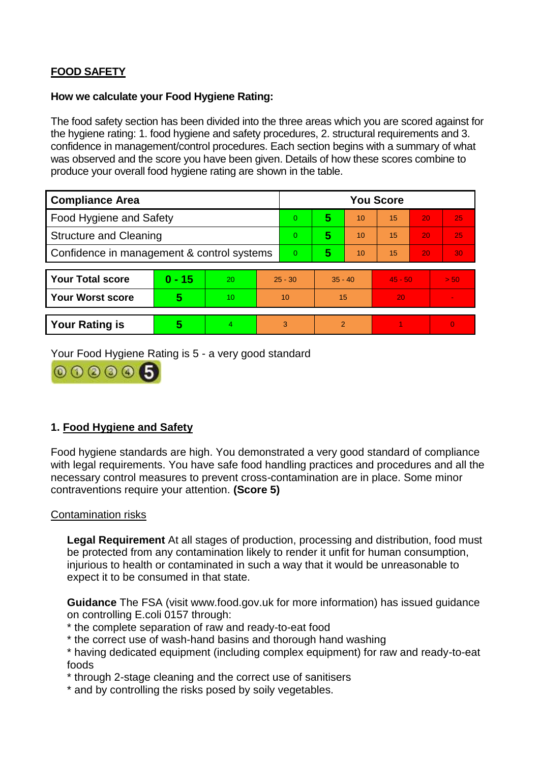# **FOOD SAFETY**

## **How we calculate your Food Hygiene Rating:**

The food safety section has been divided into the three areas which you are scored against for the hygiene rating: 1. food hygiene and safety procedures, 2. structural requirements and 3. confidence in management/control procedures. Each section begins with a summary of what was observed and the score you have been given. Details of how these scores combine to produce your overall food hygiene rating are shown in the table.

| <b>Compliance Area</b>                     |          |                  |           | <b>You Score</b> |               |    |           |    |          |  |  |
|--------------------------------------------|----------|------------------|-----------|------------------|---------------|----|-----------|----|----------|--|--|
| Food Hygiene and Safety                    |          |                  |           | 0                | 5             | 10 | 15        | 20 | 25       |  |  |
| <b>Structure and Cleaning</b>              |          |                  | $\Omega$  | 5                | 10            | 15 | 20        | 25 |          |  |  |
| Confidence in management & control systems |          |                  | $\Omega$  | 5                | 10            | 15 | 20        | 30 |          |  |  |
|                                            |          |                  |           |                  |               |    |           |    |          |  |  |
| <b>Your Total score</b>                    | $0 - 15$ | 20               | $25 - 30$ |                  | $35 - 40$     |    | $45 - 50$ |    | > 50     |  |  |
| <b>Your Worst score</b>                    | 5        | 10 <sup>10</sup> | 10        |                  | 15            |    | 20        |    |          |  |  |
|                                            |          |                  |           |                  |               |    |           |    |          |  |  |
| <b>Your Rating is</b>                      | 5        | 4                |           | 3                | $\mathcal{P}$ |    |           |    | $\Omega$ |  |  |

Your Food Hygiene Rating is 5 - a very good standard



## **1. Food Hygiene and Safety**

Food hygiene standards are high. You demonstrated a very good standard of compliance with legal requirements. You have safe food handling practices and procedures and all the necessary control measures to prevent cross-contamination are in place. Some minor contraventions require your attention. **(Score 5)**

## Contamination risks

**Legal Requirement** At all stages of production, processing and distribution, food must be protected from any contamination likely to render it unfit for human consumption, injurious to health or contaminated in such a way that it would be unreasonable to expect it to be consumed in that state.

**Guidance** The FSA (visit www.food.gov.uk for more information) has issued guidance on controlling E.coli 0157 through:

\* the complete separation of raw and ready-to-eat food

\* the correct use of wash-hand basins and thorough hand washing

\* having dedicated equipment (including complex equipment) for raw and ready-to-eat foods

\* through 2-stage cleaning and the correct use of sanitisers

\* and by controlling the risks posed by soily vegetables.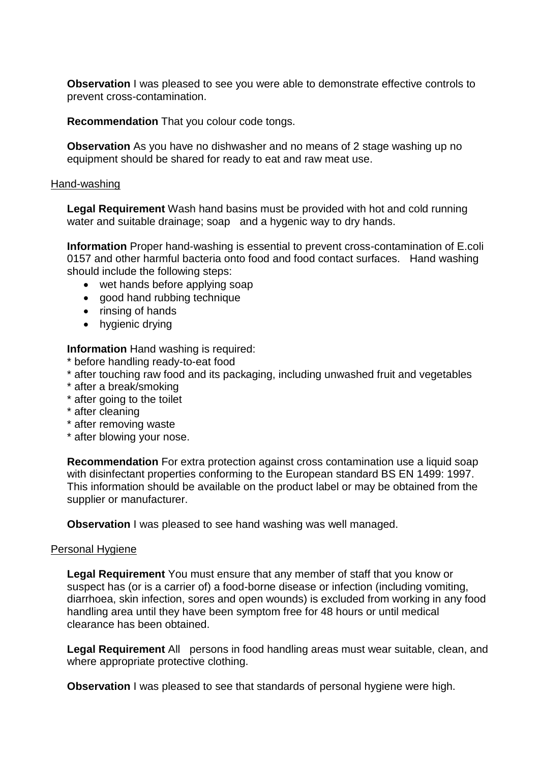**Observation** I was pleased to see you were able to demonstrate effective controls to prevent cross-contamination.

**Recommendation** That you colour code tongs.

**Observation** As you have no dishwasher and no means of 2 stage washing up no equipment should be shared for ready to eat and raw meat use.

#### Hand-washing

**Legal Requirement** Wash hand basins must be provided with hot and cold running water and suitable drainage; soap and a hygenic way to dry hands.

**Information** Proper hand-washing is essential to prevent cross-contamination of E.coli 0157 and other harmful bacteria onto food and food contact surfaces. Hand washing should include the following steps:

- wet hands before applying soap
- good hand rubbing technique
- rinsing of hands
- hygienic drying

**Information** Hand washing is required:

- \* before handling ready-to-eat food
- \* after touching raw food and its packaging, including unwashed fruit and vegetables
- \* after a break/smoking
- \* after going to the toilet
- \* after cleaning
- \* after removing waste
- \* after blowing your nose.

**Recommendation** For extra protection against cross contamination use a liquid soap with disinfectant properties conforming to the European standard BS EN 1499: 1997. This information should be available on the product label or may be obtained from the supplier or manufacturer.

**Observation** I was pleased to see hand washing was well managed.

#### Personal Hygiene

**Legal Requirement** You must ensure that any member of staff that you know or suspect has (or is a carrier of) a food-borne disease or infection (including vomiting, diarrhoea, skin infection, sores and open wounds) is excluded from working in any food handling area until they have been symptom free for 48 hours or until medical clearance has been obtained.

**Legal Requirement** All persons in food handling areas must wear suitable, clean, and where appropriate protective clothing.

**Observation** I was pleased to see that standards of personal hygiene were high.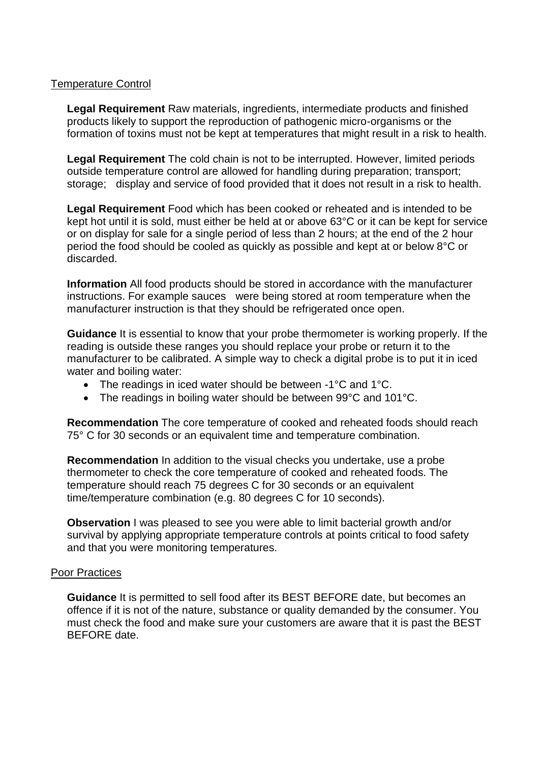## Temperature Control

**Legal Requirement** Raw materials, ingredients, intermediate products and finished products likely to support the reproduction of pathogenic micro-organisms or the formation of toxins must not be kept at temperatures that might result in a risk to health.

**Legal Requirement** The cold chain is not to be interrupted. However, limited periods outside temperature control are allowed for handling during preparation; transport; storage; display and service of food provided that it does not result in a risk to health.

**Legal Requirement** Food which has been cooked or reheated and is intended to be kept hot until it is sold, must either be held at or above 63°C or it can be kept for service or on display for sale for a single period of less than 2 hours; at the end of the 2 hour period the food should be cooled as quickly as possible and kept at or below 8°C or discarded.

**Information** All food products should be stored in accordance with the manufacturer instructions. For example sauces were being stored at room temperature when the manufacturer instruction is that they should be refrigerated once open.

**Guidance** It is essential to know that your probe thermometer is working properly. If the reading is outside these ranges you should replace your probe or return it to the manufacturer to be calibrated. A simple way to check a digital probe is to put it in iced water and boiling water:

- The readings in iced water should be between -1°C and 1°C.
- The readings in boiling water should be between 99°C and 101°C.

**Recommendation** The core temperature of cooked and reheated foods should reach 75° C for 30 seconds or an equivalent time and temperature combination.

**Recommendation** In addition to the visual checks you undertake, use a probe thermometer to check the core temperature of cooked and reheated foods. The temperature should reach 75 degrees C for 30 seconds or an equivalent time/temperature combination (e.g. 80 degrees C for 10 seconds).

**Observation** I was pleased to see you were able to limit bacterial growth and/or survival by applying appropriate temperature controls at points critical to food safety and that you were monitoring temperatures.

#### Poor Practices

**Guidance** It is permitted to sell food after its BEST BEFORE date, but becomes an offence if it is not of the nature, substance or quality demanded by the consumer. You must check the food and make sure your customers are aware that it is past the BEST BEFORE date.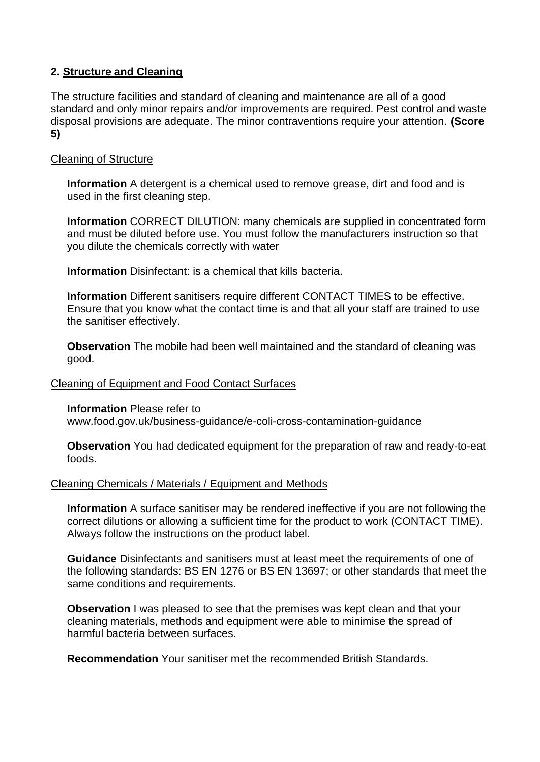## **2. Structure and Cleaning**

The structure facilities and standard of cleaning and maintenance are all of a good standard and only minor repairs and/or improvements are required. Pest control and waste disposal provisions are adequate. The minor contraventions require your attention. **(Score 5)**

## Cleaning of Structure

**Information** A detergent is a chemical used to remove grease, dirt and food and is used in the first cleaning step.

**Information** CORRECT DILUTION: many chemicals are supplied in concentrated form and must be diluted before use. You must follow the manufacturers instruction so that you dilute the chemicals correctly with water

**Information** Disinfectant: is a chemical that kills bacteria.

**Information** Different sanitisers require different CONTACT TIMES to be effective. Ensure that you know what the contact time is and that all your staff are trained to use the sanitiser effectively.

**Observation** The mobile had been well maintained and the standard of cleaning was good.

#### Cleaning of Equipment and Food Contact Surfaces

**Information** Please refer to www.food.gov.uk/business-guidance/e-coli-cross-contamination-guidance

**Observation** You had dedicated equipment for the preparation of raw and ready-to-eat foods.

#### Cleaning Chemicals / Materials / Equipment and Methods

**Information** A surface sanitiser may be rendered ineffective if you are not following the correct dilutions or allowing a sufficient time for the product to work (CONTACT TIME). Always follow the instructions on the product label.

**Guidance** Disinfectants and sanitisers must at least meet the requirements of one of the following standards: BS EN 1276 or BS EN 13697; or other standards that meet the same conditions and requirements.

**Observation** I was pleased to see that the premises was kept clean and that your cleaning materials, methods and equipment were able to minimise the spread of harmful bacteria between surfaces.

**Recommendation** Your sanitiser met the recommended British Standards.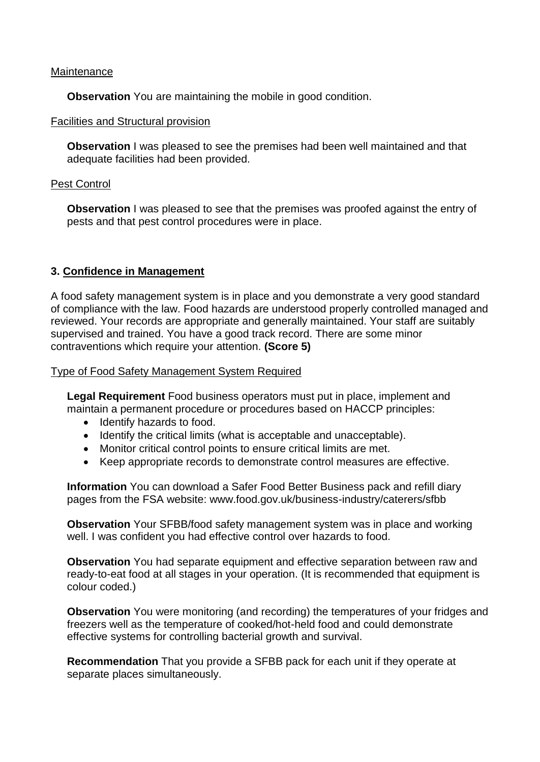## **Maintenance**

**Observation** You are maintaining the mobile in good condition.

## Facilities and Structural provision

**Observation** I was pleased to see the premises had been well maintained and that adequate facilities had been provided.

## Pest Control

**Observation** I was pleased to see that the premises was proofed against the entry of pests and that pest control procedures were in place.

## **3. Confidence in Management**

A food safety management system is in place and you demonstrate a very good standard of compliance with the law. Food hazards are understood properly controlled managed and reviewed. Your records are appropriate and generally maintained. Your staff are suitably supervised and trained. You have a good track record. There are some minor contraventions which require your attention. **(Score 5)**

Type of Food Safety Management System Required

**Legal Requirement** Food business operators must put in place, implement and maintain a permanent procedure or procedures based on HACCP principles:

- Identify hazards to food.
- Identify the critical limits (what is acceptable and unacceptable).
- Monitor critical control points to ensure critical limits are met.
- Keep appropriate records to demonstrate control measures are effective.

**Information** You can download a Safer Food Better Business pack and refill diary pages from the FSA website: www.food.gov.uk/business-industry/caterers/sfbb

**Observation** Your SFBB/food safety management system was in place and working well. I was confident you had effective control over hazards to food.

**Observation** You had separate equipment and effective separation between raw and ready-to-eat food at all stages in your operation. (It is recommended that equipment is colour coded.)

**Observation** You were monitoring (and recording) the temperatures of your fridges and freezers well as the temperature of cooked/hot-held food and could demonstrate effective systems for controlling bacterial growth and survival.

**Recommendation** That you provide a SFBB pack for each unit if they operate at separate places simultaneously.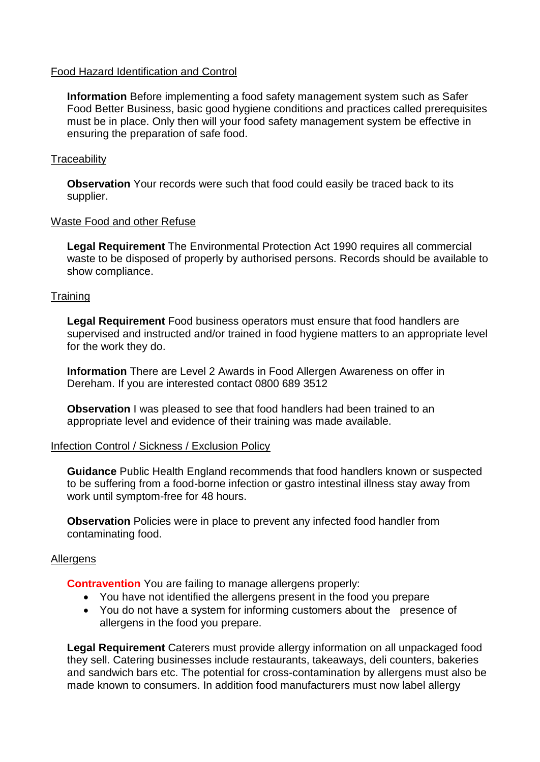## Food Hazard Identification and Control

**Information** Before implementing a food safety management system such as Safer Food Better Business, basic good hygiene conditions and practices called prerequisites must be in place. Only then will your food safety management system be effective in ensuring the preparation of safe food.

## **Traceability**

**Observation** Your records were such that food could easily be traced back to its supplier.

## Waste Food and other Refuse

**Legal Requirement** The Environmental Protection Act 1990 requires all commercial waste to be disposed of properly by authorised persons. Records should be available to show compliance.

## **Training**

**Legal Requirement** Food business operators must ensure that food handlers are supervised and instructed and/or trained in food hygiene matters to an appropriate level for the work they do.

**Information** There are Level 2 Awards in Food Allergen Awareness on offer in Dereham. If you are interested contact 0800 689 3512

**Observation** I was pleased to see that food handlers had been trained to an appropriate level and evidence of their training was made available.

## Infection Control / Sickness / Exclusion Policy

**Guidance** Public Health England recommends that food handlers known or suspected to be suffering from a food-borne infection or gastro intestinal illness stay away from work until symptom-free for 48 hours.

**Observation** Policies were in place to prevent any infected food handler from contaminating food.

## Allergens

**Contravention** You are failing to manage allergens properly:

- You have not identified the allergens present in the food you prepare
- You do not have a system for informing customers about the presence of allergens in the food you prepare.

**Legal Requirement** Caterers must provide allergy information on all unpackaged food they sell. Catering businesses include restaurants, takeaways, deli counters, bakeries and sandwich bars etc. The potential for cross-contamination by allergens must also be made known to consumers. In addition food manufacturers must now label allergy